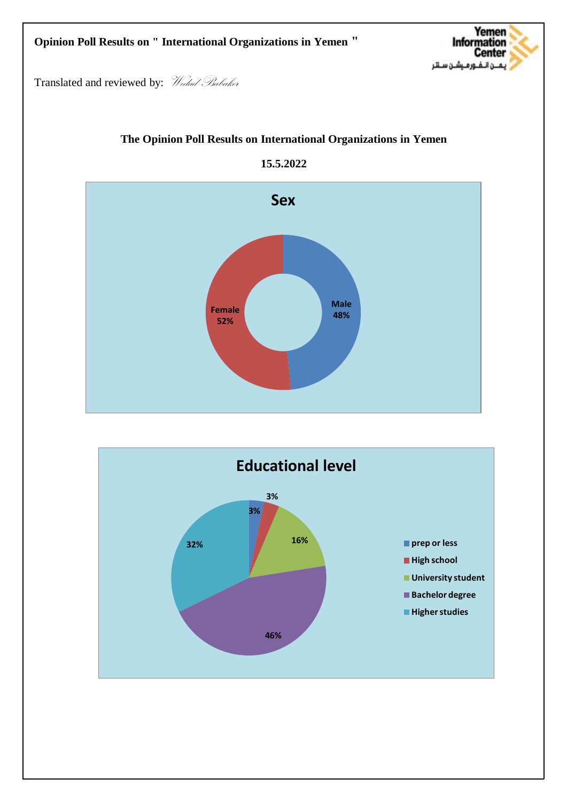## **Opinion Poll Results on " International Organizations in Yemen "**



Translated and reviewed by: Wedad Babaker







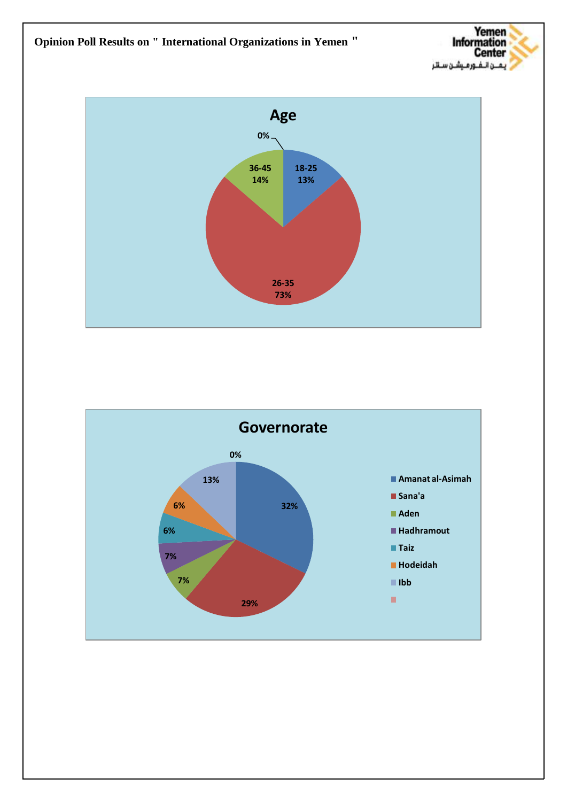



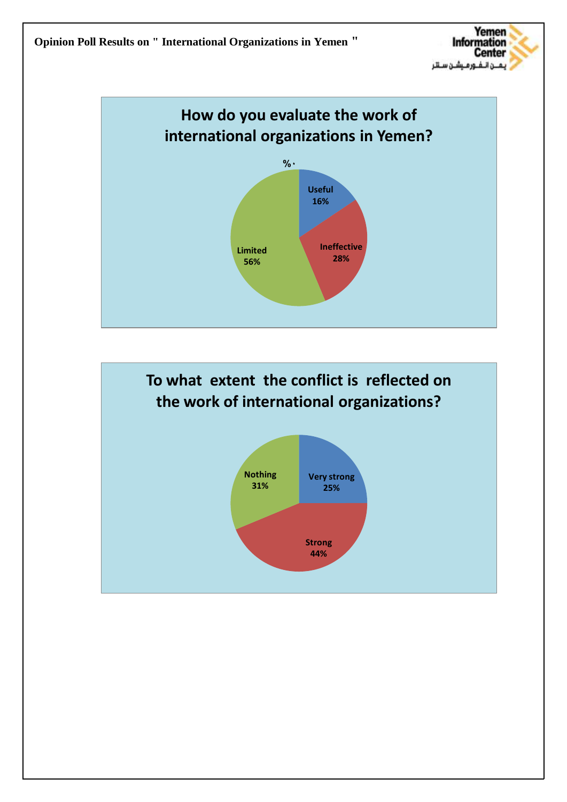



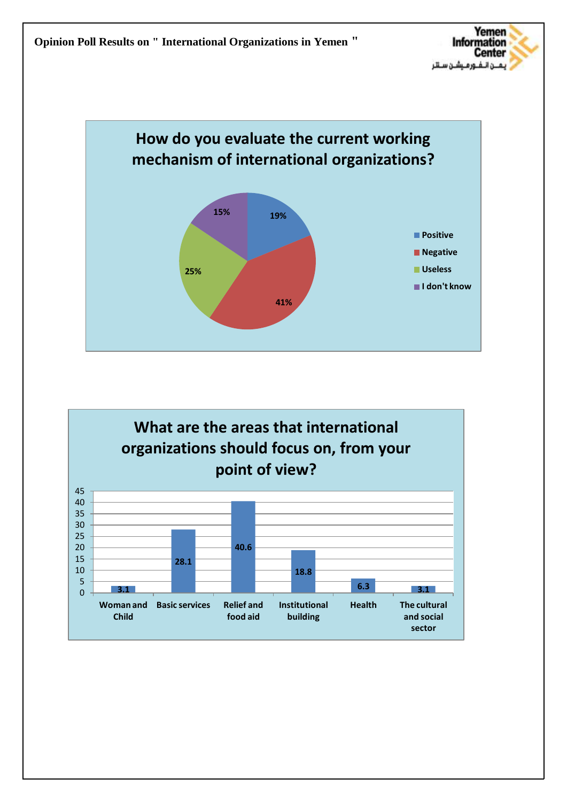



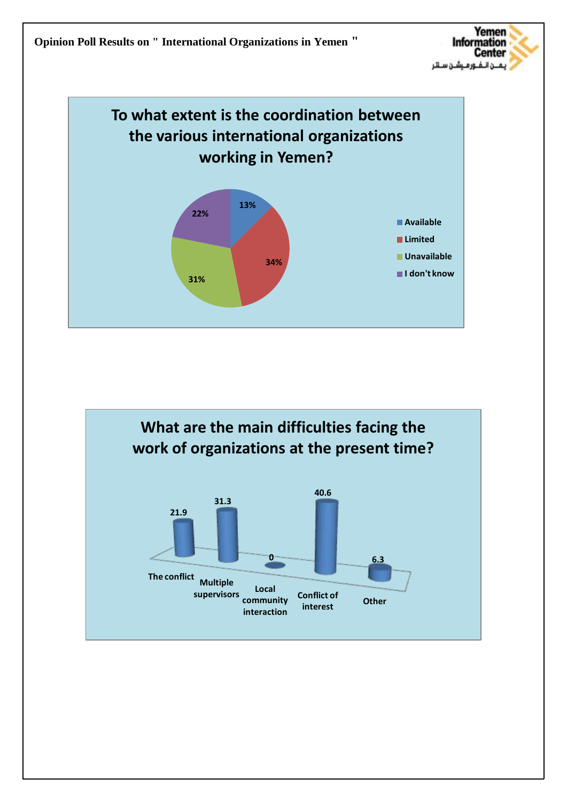